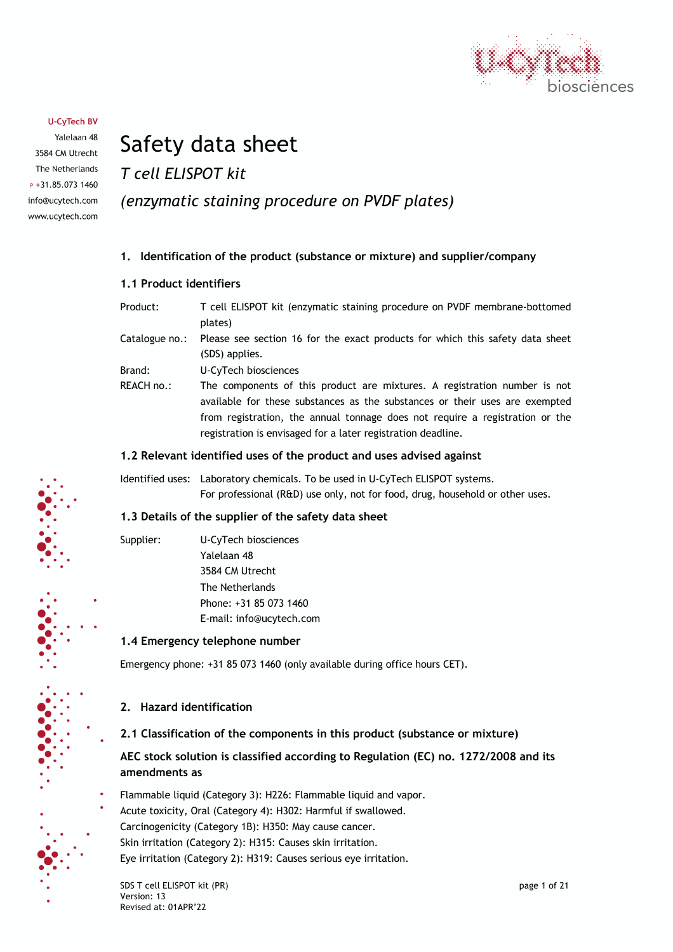

Yalelaan 48 3584 CM Utrecht The Netherlands  $P + 31.85.0731460$ info@ucytech.com www.ucytech.com

# Safety data sheet

*T cell ELISPOT kit*

# *(enzymatic staining procedure on PVDF plates)*

# **1. Identification of the product (substance or mixture) and supplier/company**

### **1.1 Product identifiers**

Product: T cell ELISPOT kit (enzymatic staining procedure on PVDF membrane-bottomed plates) Catalogue no.: Please see section 16 for the exact products for which this safety data sheet (SDS) applies. Brand: U-CyTech biosciences REACH no.: The components of this product are mixtures. A registration number is not available for these substances as the substances or their uses are exempted from registration, the annual tonnage does not require a registration or the registration is envisaged for a later registration deadline.

### **1.2 Relevant identified uses of the product and uses advised against**

Identified uses: Laboratory chemicals. To be used in U-CyTech ELISPOT systems. For professional (R&D) use only, not for food, drug, household or other uses.

# **1.3 Details of the supplier of the safety data sheet**

Supplier: U-CyTech biosciences Yalelaan 48 3584 CM Utrecht The Netherlands Phone: +31 85 073 1460 E-mail: info@ucytech.com

# **1.4 Emergency telephone number**

Emergency phone: +31 85 073 1460 (only available during office hours CET).

# **2. Hazard identification**

# **2.1 Classification of the components in this product (substance or mixture)**

# **AEC stock solution is classified according to Regulation (EC) no. 1272/2008 and its amendments as**

- Flammable liquid (Category 3): H226: Flammable liquid and vapor.
- Acute toxicity, Oral (Category 4): H302: Harmful if swallowed.
- Carcinogenicity (Category 1B): H350: May cause cancer.
- Skin irritation (Category 2): H315: Causes skin irritation.

Eye irritation (Category 2): H319: Causes serious eye irritation.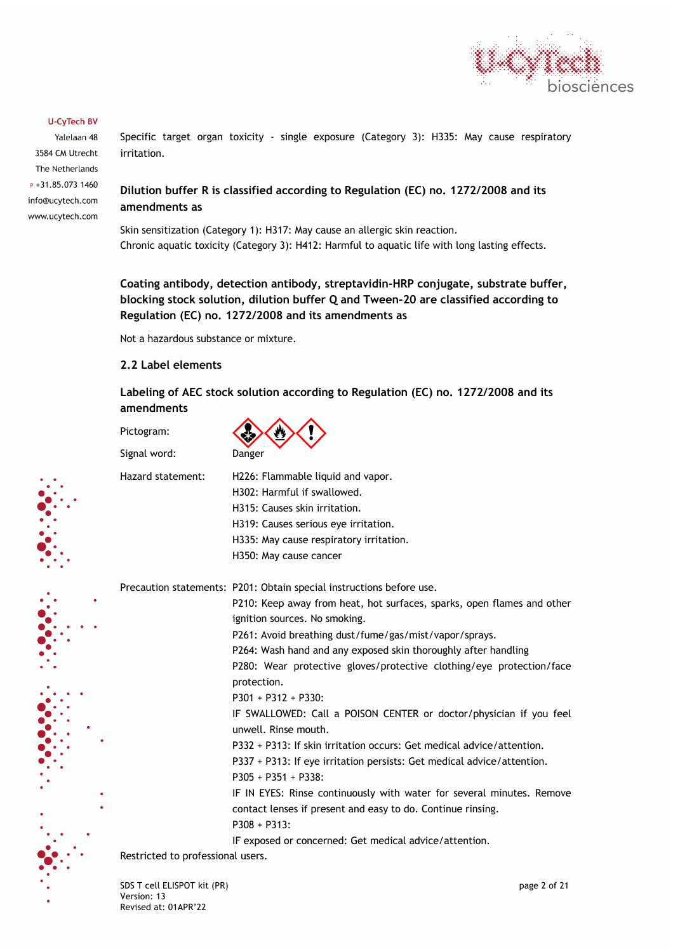

Yalelaan 48 3584 CM Utrecht The Netherlands P +31.85.073 1460 info@ucytech.com www.ucytech.com Specific target organ toxicity - single exposure (Category 3): H335: May cause respiratory irritation.

# **Dilution buffer R is classified according to Regulation (EC) no. 1272/2008 and its amendments as**

Skin sensitization (Category 1): H317: May cause an allergic skin reaction. Chronic aquatic toxicity (Category 3): H412: Harmful to aquatic life with long lasting effects.

**Coating antibody, detection antibody, streptavidin-HRP conjugate, substrate buffer, blocking stock solution, dilution buffer Q and Tween-20 are classified according to Regulation (EC) no. 1272/2008 and its amendments as**

Not a hazardous substance or mixture.

## **2.2 Label elements**

**Labeling of AEC stock solution according to Regulation (EC) no. 1272/2008 and its amendments**

Pictogram:

Signal word: Danger

| $\sim$<br>- 1 |  |
|---------------|--|

Hazard statement: H226: Flammable liquid and vapor. H302: Harmful if swallowed. H315: Causes skin irritation. H319: Causes serious eye irritation. H335: May cause respiratory irritation.

H350: May cause cancer

Precaution statements: P201: Obtain special instructions before use.

P210: Keep away from heat, hot surfaces, sparks, open flames and other ignition sources. No smoking.

P261: Avoid breathing dust/fume/gas/mist/vapor/sprays.

P264: Wash hand and any exposed skin thoroughly after handling

P280: Wear protective gloves/protective clothing/eye protection/face protection.

P301 + P312 + P330:

IF SWALLOWED: Call a POISON CENTER or doctor/physician if you feel unwell. Rinse mouth.

P332 + P313: If skin irritation occurs: Get medical advice/attention.

P337 + P313: If eye irritation persists: Get medical advice/attention. P305 + P351 + P338:

IF IN EYES: Rinse continuously with water for several minutes. Remove contact lenses if present and easy to do. Continue rinsing. P308 + P313:

IF exposed or concerned: Get medical advice/attention.

Restricted to professional users.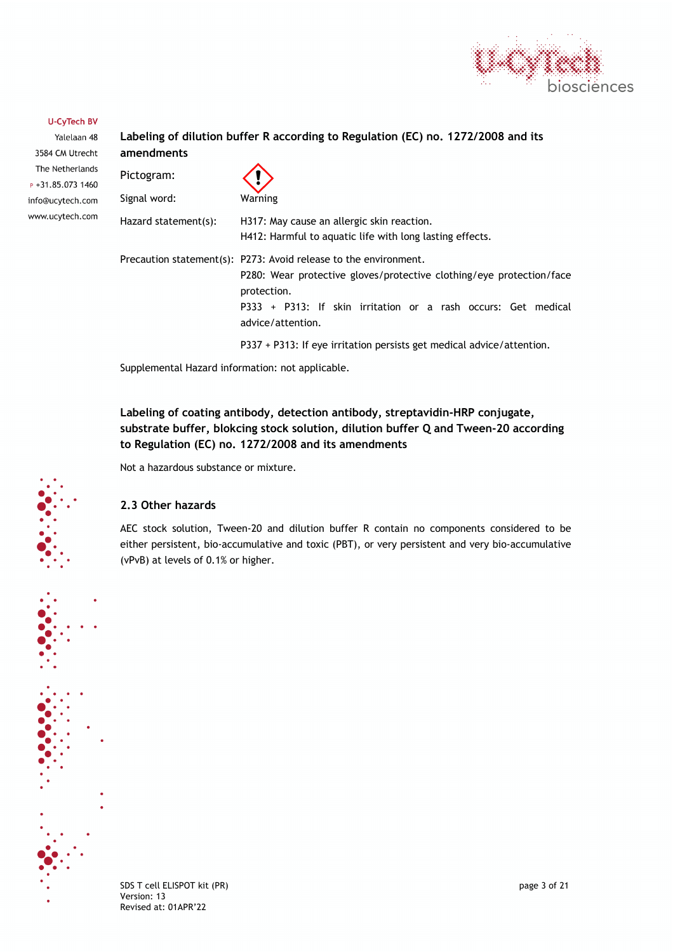

Yalelaan 48 3584 CM Utrecht The Netherlands  $P + 31.85.0731460$ info@ucytech.com www.ucytech.com

# **Labeling of dilution buffer R according to Regulation (EC) no. 1272/2008 and its amendments**  $\triangle$

| Pictogram:           |                                                                                                                                                                                                                                               |
|----------------------|-----------------------------------------------------------------------------------------------------------------------------------------------------------------------------------------------------------------------------------------------|
| Signal word:         | Warning                                                                                                                                                                                                                                       |
| Hazard statement(s): | H317: May cause an allergic skin reaction.<br>H412: Harmful to aguatic life with long lasting effects.                                                                                                                                        |
|                      | Precaution statement(s): P273: Avoid release to the environment.<br>P280: Wear protective gloves/protective clothing/eye protection/face<br>protection.<br>P333 + P313: If skin irritation or a rash occurs: Get medical<br>advice/attention. |
|                      | P337 + P313: If eye irritation persists get medical advice/attention.                                                                                                                                                                         |

Supplemental Hazard information: not applicable.

# **Labeling of coating antibody, detection antibody, streptavidin-HRP conjugate, substrate buffer, blokcing stock solution, dilution buffer Q and Tween-20 according to Regulation (EC) no. 1272/2008 and its amendments**

Not a hazardous substance or mixture.

## **2.3 Other hazards**

AEC stock solution, Tween-20 and dilution buffer R contain no components considered to be either persistent, bio-accumulative and toxic (PBT), or very persistent and very bio-accumulative (vPvB) at levels of 0.1% or higher.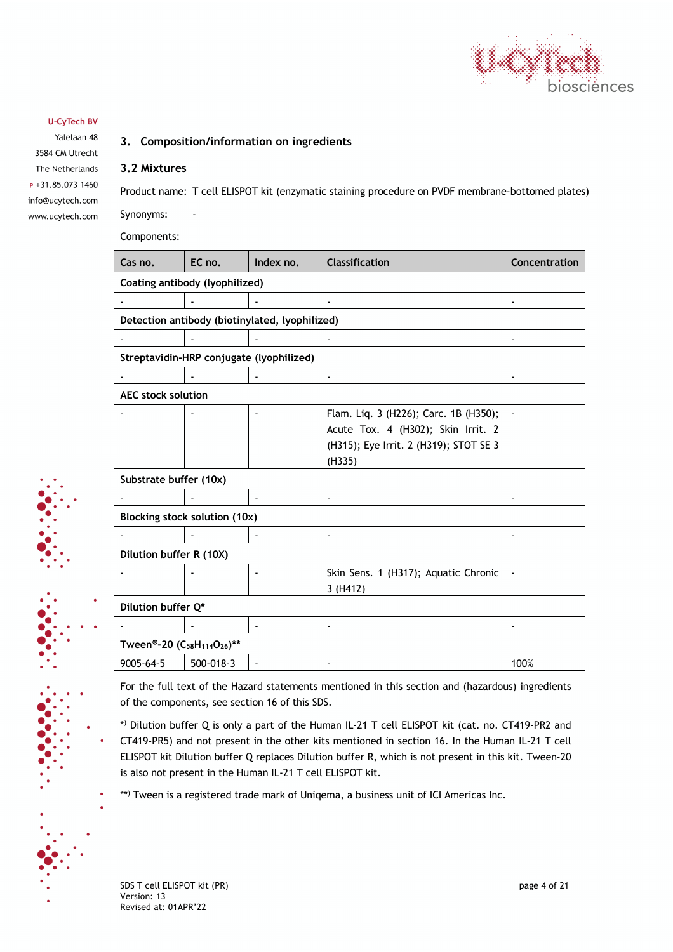

Yalelaan 48 3584 CM Utrecht The Netherlands  $P + 31.85.0731460$ info@ucytech.com www.ucytech.com

# **3. Composition/information on ingredients**

#### **3.2 Mixtures**

Product name: T cell ELISPOT kit (enzymatic staining procedure on PVDF membrane-bottomed plates) Synonyms:

Components:

| Cas no.                                                         | EC no.             | Index no.                                      | <b>Classification</b>                  | Concentration  |
|-----------------------------------------------------------------|--------------------|------------------------------------------------|----------------------------------------|----------------|
| Coating antibody (lyophilized)                                  |                    |                                                |                                        |                |
|                                                                 |                    |                                                | $\blacksquare$                         | $\mathbf{r}$   |
|                                                                 |                    | Detection antibody (biotinylated, lyophilized) |                                        |                |
|                                                                 |                    |                                                |                                        |                |
|                                                                 |                    | Streptavidin-HRP conjugate (lyophilized)       |                                        |                |
|                                                                 |                    |                                                | $\blacksquare$                         | $\blacksquare$ |
| <b>AEC stock solution</b>                                       |                    |                                                |                                        |                |
|                                                                 |                    |                                                | Flam. Liq. 3 (H226); Carc. 1B (H350);  |                |
|                                                                 |                    |                                                | Acute Tox. 4 (H302); Skin Irrit. 2     |                |
|                                                                 |                    |                                                | (H315); Eye Irrit. 2 (H319); STOT SE 3 |                |
|                                                                 |                    |                                                | (H335)                                 |                |
| Substrate buffer (10x)                                          |                    |                                                |                                        |                |
|                                                                 |                    | $\blacksquare$                                 | $\blacksquare$                         | ä,             |
| Blocking stock solution (10x)                                   |                    |                                                |                                        |                |
|                                                                 |                    |                                                | $\overline{\phantom{0}}$               |                |
| Dilution buffer R (10X)                                         |                    |                                                |                                        |                |
|                                                                 |                    | $\sim$                                         | Skin Sens. 1 (H317); Aquatic Chronic   |                |
|                                                                 |                    |                                                | 3(H412)                                |                |
|                                                                 | Dilution buffer Q* |                                                |                                        |                |
|                                                                 |                    |                                                | ä,                                     |                |
| Tween®-20 (C <sub>58</sub> H <sub>114</sub> O <sub>26</sub> )** |                    |                                                |                                        |                |
| 9005-64-5                                                       | 500-018-3          |                                                | $\qquad \qquad \blacksquare$           | 100%           |

For the full text of the Hazard statements mentioned in this section and (hazardous) ingredients of the components, see section 16 of this SDS.

\*) Dilution buffer Q is only a part of the Human IL-21 T cell ELISPOT kit (cat. no. CT419-PR2 and CT419-PR5) and not present in the other kits mentioned in section 16. In the Human IL-21 T cell ELISPOT kit Dilution buffer Q replaces Dilution buffer R, which is not present in this kit. Tween-20 is also not present in the Human IL-21 T cell ELISPOT kit.

\*\*) Tween is a registered trade mark of Uniqema, a business unit of ICI Americas Inc.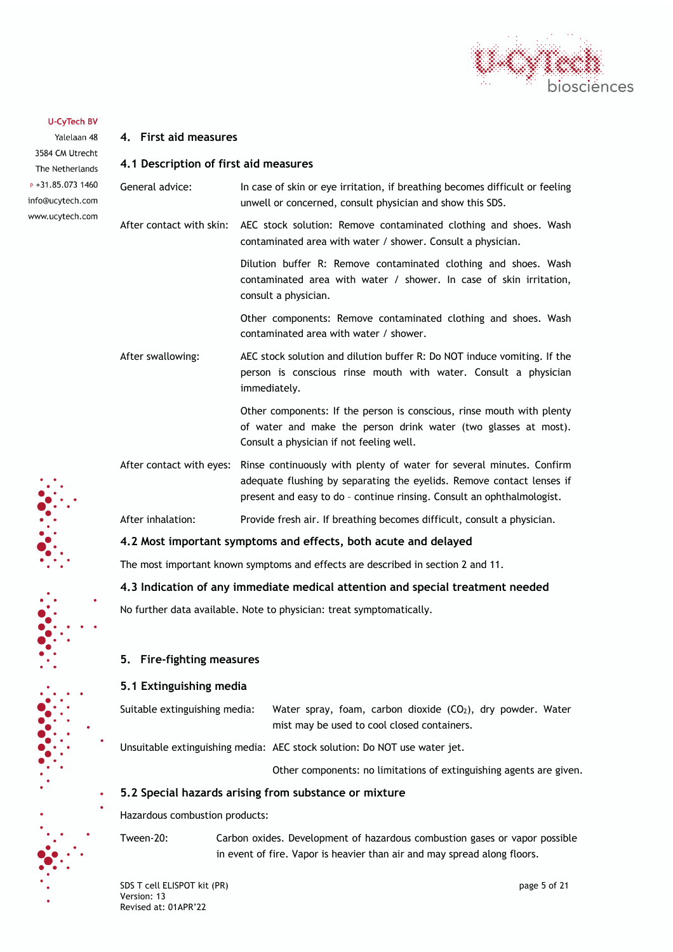

**4. First aid measures**

Yalelaan 48 3584 CM Utrecht The Netherlands  $P + 31.85.0731460$ info@ucytech.com www.ucytech.com

| 4.1 Description of first aid measures                                |                                                                                                                                                                                                                                                  |
|----------------------------------------------------------------------|--------------------------------------------------------------------------------------------------------------------------------------------------------------------------------------------------------------------------------------------------|
| General advice:                                                      | In case of skin or eye irritation, if breathing becomes difficult or feeling<br>unwell or concerned, consult physician and show this SDS.                                                                                                        |
| After contact with skin:                                             | AEC stock solution: Remove contaminated clothing and shoes. Wash<br>contaminated area with water / shower. Consult a physician.                                                                                                                  |
|                                                                      | Dilution buffer R: Remove contaminated clothing and shoes. Wash<br>contaminated area with water / shower. In case of skin irritation,<br>consult a physician.                                                                                    |
|                                                                      | Other components: Remove contaminated clothing and shoes. Wash<br>contaminated area with water / shower.                                                                                                                                         |
| After swallowing:                                                    | AEC stock solution and dilution buffer R: Do NOT induce vomiting. If the<br>person is conscious rinse mouth with water. Consult a physician<br>immediately.                                                                                      |
|                                                                      | Other components: If the person is conscious, rinse mouth with plenty<br>of water and make the person drink water (two glasses at most).<br>Consult a physician if not feeling well.                                                             |
|                                                                      | After contact with eyes: Rinse continuously with plenty of water for several minutes. Confirm<br>adequate flushing by separating the eyelids. Remove contact lenses if<br>present and easy to do - continue rinsing. Consult an ophthalmologist. |
| After inhalation:                                                    | Provide fresh air. If breathing becomes difficult, consult a physician.                                                                                                                                                                          |
|                                                                      | 4.2 Most important symptoms and effects, both acute and delayed                                                                                                                                                                                  |
|                                                                      | The most important known symptoms and effects are described in section 2 and 11.                                                                                                                                                                 |
|                                                                      | 4.3 Indication of any immediate medical attention and special treatment needed                                                                                                                                                                   |
| No further data available. Note to physician: treat symptomatically. |                                                                                                                                                                                                                                                  |
| 5. Fire-fighting measures                                            |                                                                                                                                                                                                                                                  |
| 5.1 Extinguishing media                                              |                                                                                                                                                                                                                                                  |
| Suitable extinguishing media:                                        | Water spray, foam, carbon dioxide (CO <sub>2</sub> ), dry powder. Water<br>mist may be used to cool closed containers.                                                                                                                           |
|                                                                      | Unsuitable extinguishing media: AEC stock solution: Do NOT use water jet.                                                                                                                                                                        |

Other components: no limitations of extinguishing agents are given.

### **5.2 Special hazards arising from substance or mixture**

Hazardous combustion products:

Tween-20: Carbon oxides. Development of hazardous combustion gases or vapor possible in event of fire. Vapor is heavier than air and may spread along floors.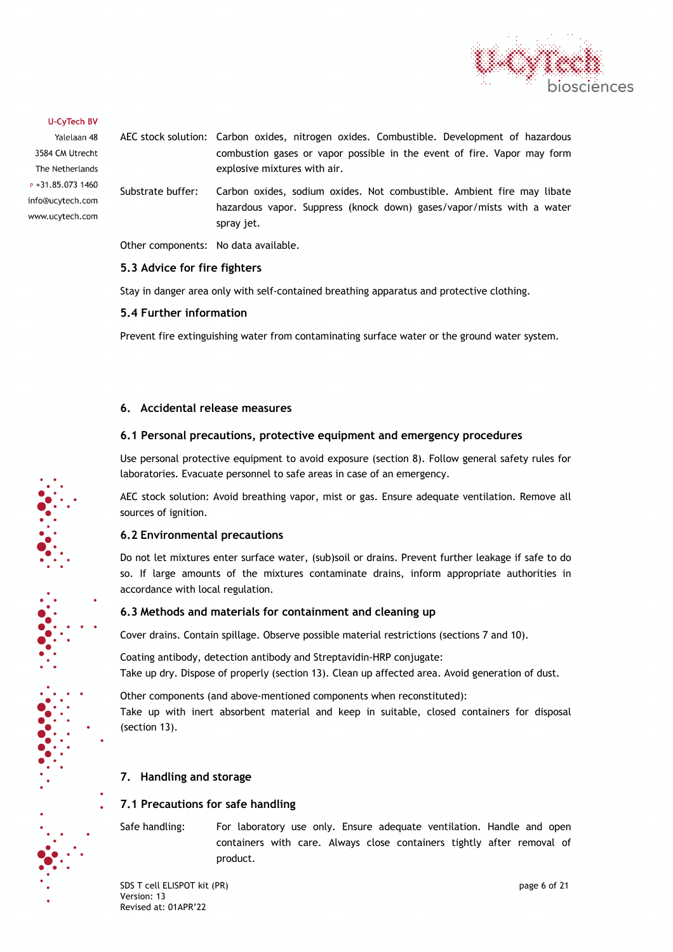

Yalelaan 48 3584 CM Utrecht The Netherlands P +31.85.073 1460 info@ucytech.com www.ucytech.com AEC stock solution: Carbon oxides, nitrogen oxides. Combustible. Development of hazardous combustion gases or vapor possible in the event of fire. Vapor may form explosive mixtures with air.

Substrate buffer: Carbon oxides, sodium oxides. Not combustible. Ambient fire may libate hazardous vapor. Suppress (knock down) gases/vapor/mists with a water spray jet.

Other components: No data available.

# **5.3 Advice for fire fighters**

Stay in danger area only with self-contained breathing apparatus and protective clothing.

# **5.4 Further information**

Prevent fire extinguishing water from contaminating surface water or the ground water system.

# **6. Accidental release measures**

# **6.1 Personal precautions, protective equipment and emergency procedures**

Use personal protective equipment to avoid exposure (section 8). Follow general safety rules for laboratories. Evacuate personnel to safe areas in case of an emergency.

AEC stock solution: Avoid breathing vapor, mist or gas. Ensure adequate ventilation. Remove all sources of ignition.

# **6.2 Environmental precautions**

Do not let mixtures enter surface water, (sub)soil or drains. Prevent further leakage if safe to do so. If large amounts of the mixtures contaminate drains, inform appropriate authorities in accordance with local regulation.

# **6.3 Methods and materials for containment and cleaning up**

Cover drains. Contain spillage. Observe possible material restrictions (sections 7 and 10).

Coating antibody, detection antibody and Streptavidin-HRP conjugate: Take up dry. Dispose of properly (section 13). Clean up affected area. Avoid generation of dust.

Other components (and above-mentioned components when reconstituted): Take up with inert absorbent material and keep in suitable, closed containers for disposal (section 13).

# **7. Handling and storage**

# **7.1 Precautions for safe handling**

Safe handling: For laboratory use only. Ensure adequate ventilation. Handle and open containers with care. Always close containers tightly after removal of product.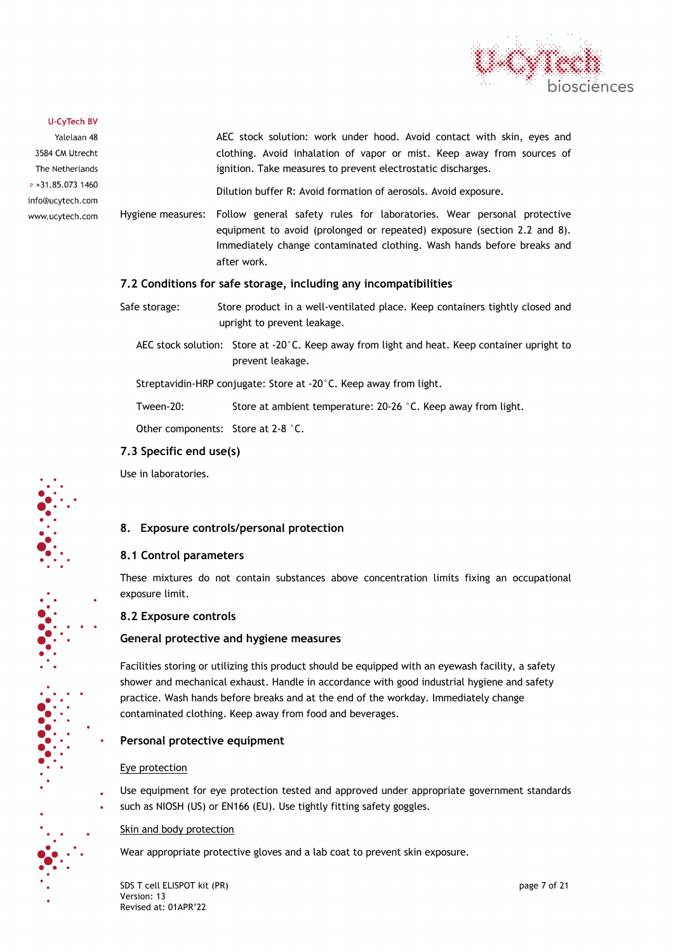

Yalelaan 48 3584 CM Utrecht The Netherlands  $P + 31.85.0731460$ info@ucytech.com www.ucytech.com AEC stock solution: work under hood. Avoid contact with skin, eyes and clothing. Avoid inhalation of vapor or mist. Keep away from sources of ignition. Take measures to prevent electrostatic discharges. Dilution buffer R: Avoid formation of aerosols. Avoid exposure.

Hygiene measures: Follow general safety rules for laboratories. Wear personal protective equipment to avoid (prolonged or repeated) exposure (section 2.2 and 8). Immediately change contaminated clothing. Wash hands before breaks and after work.

# **7.2 Conditions for safe storage, including any incompatibilities**

- Safe storage: Store product in a well-ventilated place. Keep containers tightly closed and upright to prevent leakage.
	- AEC stock solution: Store at -20°C. Keep away from light and heat. Keep container upright to prevent leakage.

Streptavidin-HRP conjugate: Store at -20°C. Keep away from light.

Tween-20: Store at ambient temperature: 20-26 °C. Keep away from light.

Other components: Store at 2-8 °C.

### **7.3 Specific end use(s)**

Use in laboratories.

# **8. Exposure controls/personal protection**

# **8.1 Control parameters**

These mixtures do not contain substances above concentration limits fixing an occupational exposure limit.

# **8.2 Exposure controls**

# **General protective and hygiene measures**

Facilities storing or utilizing this product should be equipped with an eyewash facility, a safety shower and mechanical exhaust. Handle in accordance with good industrial hygiene and safety practice. Wash hands before breaks and at the end of the workday. Immediately change contaminated clothing. Keep away from food and beverages.

# **Personal protective equipment**

# Eye protection

- Use equipment for eye protection tested and approved under appropriate government standards
- such as NIOSH (US) or EN166 (EU). Use tightly fitting safety goggles.

# Skin and body protection

Wear appropriate protective gloves and a lab coat to prevent skin exposure.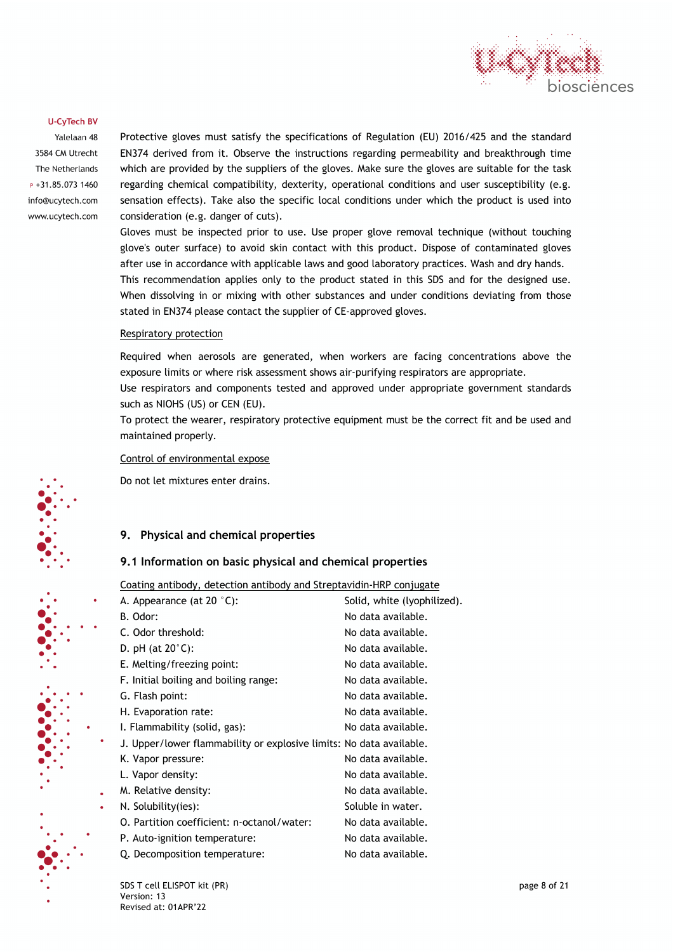

Yalelaan 48 3584 CM Utrecht The Netherlands P +31.85.073 1460 info@ucytech.com www.ucytech.com Protective gloves must satisfy the specifications of Regulation (EU) 2016/425 and the standard EN374 derived from it. Observe the instructions regarding permeability and breakthrough time which are provided by the suppliers of the gloves. Make sure the gloves are suitable for the task regarding chemical compatibility, dexterity, operational conditions and user susceptibility (e.g. sensation effects). Take also the specific local conditions under which the product is used into consideration (e.g. danger of cuts).

Gloves must be inspected prior to use. Use proper glove removal technique (without touching glove's outer surface) to avoid skin contact with this product. Dispose of contaminated gloves after use in accordance with applicable laws and good laboratory practices. Wash and dry hands. This recommendation applies only to the product stated in this SDS and for the designed use. When dissolving in or mixing with other substances and under conditions deviating from those stated in EN374 please contact the supplier of CE-approved gloves.

#### Respiratory protection

Required when aerosols are generated, when workers are facing concentrations above the exposure limits or where risk assessment shows air-purifying respirators are appropriate.

Use respirators and components tested and approved under appropriate government standards such as NIOHS (US) or CEN (EU).

To protect the wearer, respiratory protective equipment must be the correct fit and be used and maintained properly.

#### Control of environmental expose

Do not let mixtures enter drains.

# **9. Physical and chemical properties**

#### **9.1 Information on basic physical and chemical properties**

Coating antibody, detection antibody and Streptavidin-HRP conjugate

| A. Appearance (at 20 °C):                                           | Solid, white (lyophilized). |
|---------------------------------------------------------------------|-----------------------------|
| B. Odor:                                                            | No data available.          |
| C. Odor threshold:                                                  | No data available.          |
| D. pH (at $20^{\circ}$ C):                                          | No data available.          |
| E. Melting/freezing point:                                          | No data available.          |
| F. Initial boiling and boiling range:                               | No data available.          |
| G. Flash point:                                                     | No data available.          |
| H. Evaporation rate:                                                | No data available.          |
| I. Flammability (solid, gas):                                       | No data available.          |
| J. Upper/lower flammability or explosive limits: No data available. |                             |
| K. Vapor pressure:                                                  | No data available.          |
| L. Vapor density:                                                   | No data available.          |
| M. Relative density:                                                | No data available.          |
| N. Solubility(ies):                                                 | Soluble in water.           |
| O. Partition coefficient: n-octanol/water:                          | No data available.          |
| P. Auto-ignition temperature:                                       | No data available.          |
| Q. Decomposition temperature:                                       | No data available.          |
|                                                                     |                             |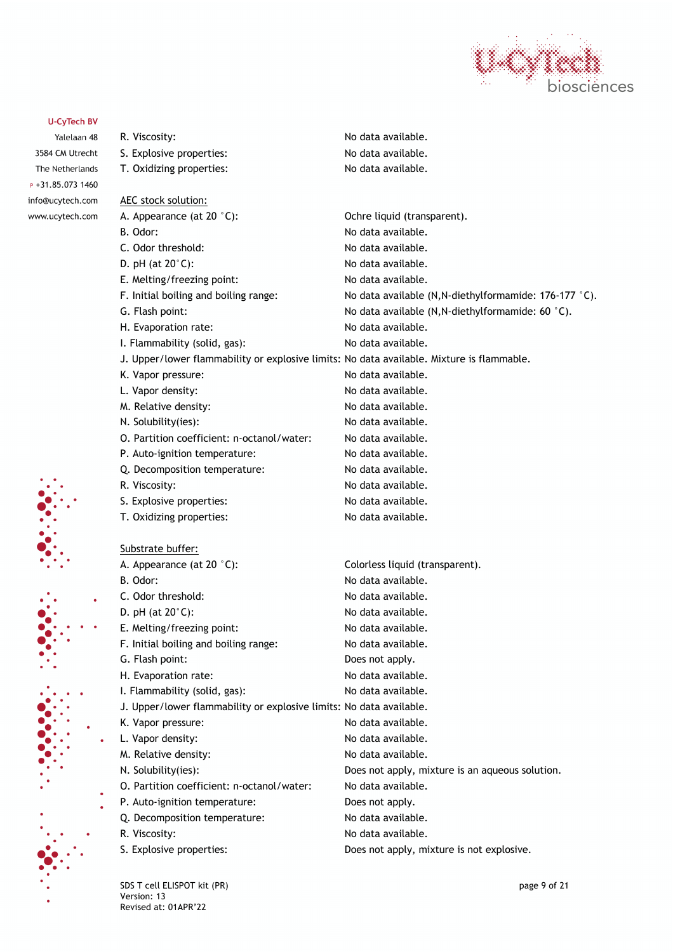

# **U-CyTech BV** R. Viscosity: No data available. Yalelaan 48 3584 CM Utrecht S. Explosive properties: No data available. The Netherlands T. Oxidizing properties: No data available.  $P + 31.85.0731460$ info@ucytech.com AEC stock solution: www.ucytech.com A. Appearance (at 20 °C): Conferent of Comparent Conferent Control of Conferent Conferent A. Appearance (at 20 °C): B. Odor: No data available. C. Odor threshold: No data available. D. pH (at 20°C): No data available. E. Melting/freezing point: No data available. F. Initial boiling and boiling range: No data available  $(N,N$ -diethylformamide: 176-177  $\degree$ C). G. Flash point:  $\blacksquare$  No data available (N, N-diethylformamide: 60  $\degree$ C). H. Evaporation rate: No data available. I. Flammability (solid, gas): No data available. J. Upper/lower flammability or explosive limits: No data available. Mixture is flammable. K. Vapor pressure: No data available. L. Vapor density:  $\blacksquare$ M. Relative density: No data available. N. Solubility(ies): No data available. O. Partition coefficient: n-octanol/water: No data available. P. Auto-ignition temperature: No data available. Q. Decomposition temperature: No data available. R. Viscosity: No data available. S. Explosive properties: No data available. T. Oxidizing properties: No data available. Substrate buffer: A. Appearance (at 20 °C): Colorless liquid (transparent). B. Odor: No data available. C. Odor threshold: No data available. D. pH (at 20°C): No data available. E. Melting/freezing point: No data available. F. Initial boiling and boiling range: No data available. G. Flash point: Does not apply. H. Evaporation rate: No data available. I. Flammability (solid, gas): No data available. J. Upper/lower flammability or explosive limits: No data available. K. Vapor pressure:  $\blacksquare$  No data available. L. Vapor density:  $\blacksquare$ M. Relative density: No data available. N. Solubility(ies): Does not apply, mixture is an aqueous solution. O. Partition coefficient: n-octanol/water: No data available. P. Auto-ignition temperature: Does not apply. Q. Decomposition temperature: No data available. R. Viscosity: No data available. S. Explosive properties:  $\qquad \qquad \qquad$  Does not apply, mixture is not explosive.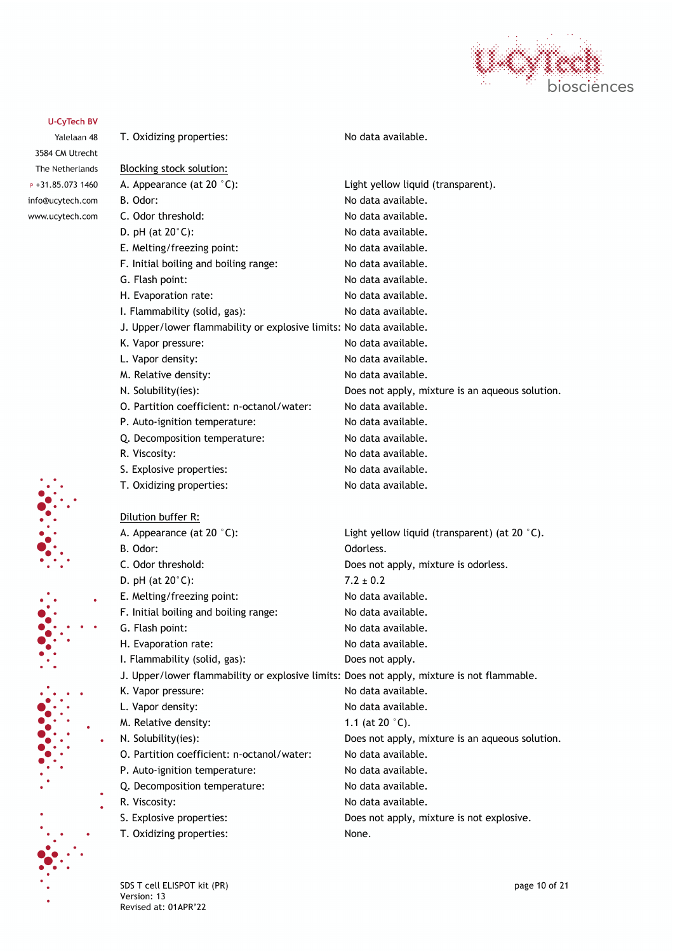

Yalelaan 48 3584 CM Utrecht The Netherlands P +31.85.073 1460 info@ucytech.com www.ucytech.com

| T. Oxidizing properties:                                                                   | No data available.                              |
|--------------------------------------------------------------------------------------------|-------------------------------------------------|
| <b>Blocking stock solution:</b>                                                            |                                                 |
| A. Appearance (at 20 °C):                                                                  | Light yellow liquid (transparent).              |
| B. Odor:                                                                                   | No data available.                              |
| C. Odor threshold:                                                                         | No data available.                              |
| D. pH (at $20^{\circ}$ C):                                                                 | No data available.                              |
| E. Melting/freezing point:                                                                 | No data available.                              |
| F. Initial boiling and boiling range:                                                      | No data available.                              |
| G. Flash point:                                                                            | No data available.                              |
| H. Evaporation rate:                                                                       | No data available.                              |
| I. Flammability (solid, gas):                                                              | No data available.                              |
| J. Upper/lower flammability or explosive limits: No data available.                        |                                                 |
| K. Vapor pressure:                                                                         | No data available.                              |
| L. Vapor density:                                                                          | No data available.                              |
| M. Relative density:                                                                       | No data available.                              |
| N. Solubility(ies):                                                                        | Does not apply, mixture is an aqueous solution. |
| O. Partition coefficient: n-octanol/water:                                                 | No data available.                              |
| P. Auto-ignition temperature:                                                              | No data available.                              |
| Q. Decomposition temperature:                                                              | No data available.                              |
| R. Viscosity:                                                                              | No data available.                              |
| S. Explosive properties:                                                                   | No data available.                              |
| T. Oxidizing properties:                                                                   | No data available.                              |
| Dilution buffer R:                                                                         |                                                 |
| A. Appearance (at 20 °C):                                                                  | Light yellow liquid (transparent) (at 20 °C).   |
| B. Odor:                                                                                   | Odorless.                                       |
| C. Odor threshold:                                                                         | Does not apply, mixture is odorless.            |
| D. pH (at $20^{\circ}$ C):                                                                 | $7.2 \pm 0.2$                                   |
| E. Melting/freezing point:                                                                 | No data available.                              |
| F. Initial boiling and boiling range:                                                      | No data available.                              |
| G. Flash point:                                                                            | No data available.                              |
| H. Evaporation rate:                                                                       | No data available.                              |
| I. Flammability (solid, gas):                                                              | Does not apply.                                 |
| J. Upper/lower flammability or explosive limits: Does not apply, mixture is not flammable. |                                                 |
| K. Vapor pressure:                                                                         | No data available.                              |
| L. Vapor density:                                                                          | No data available.                              |
| M. Relative density:                                                                       | 1.1 (at 20 $^{\circ}$ C).                       |
| N. Solubility(ies):                                                                        | Does not apply, mixture is an aqueous solution. |
| O. Partition coefficient: n-octanol/water:                                                 | No data available.                              |
| P. Auto-ignition temperature:                                                              | No data available.                              |
| Q. Decomposition temperature:                                                              | No data available.                              |
| R. Viscosity:                                                                              | No data available.                              |
| S. Explosive properties:                                                                   | Does not apply, mixture is not explosive.       |
| T. Oxidizing properties:                                                                   | None.                                           |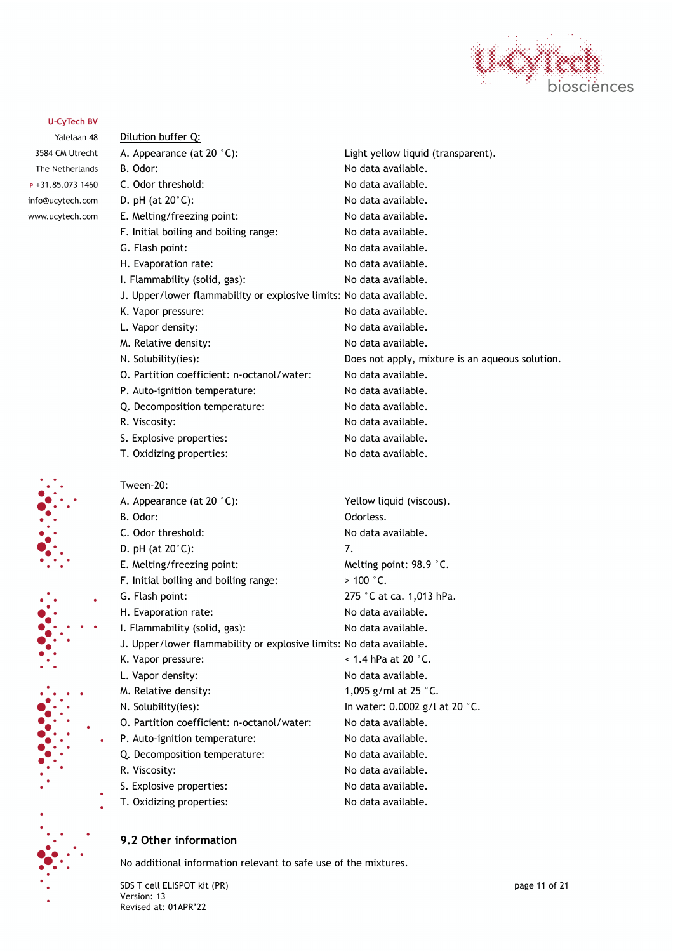

Yalelaan 48 3584 CM Utrecht The Netherlands P +31.85.073 1460 info@ucytech.com www.ucytech.com

| Dilution buffer Q:                                                  |                                                 |
|---------------------------------------------------------------------|-------------------------------------------------|
| A. Appearance (at 20 °C):                                           | Light yellow liquid (transparent).              |
| B. Odor:                                                            | No data available.                              |
| C. Odor threshold:                                                  | No data available.                              |
| D. pH (at $20^{\circ}$ C):                                          | No data available.                              |
| E. Melting/freezing point:                                          | No data available.                              |
| F. Initial boiling and boiling range:                               | No data available.                              |
| G. Flash point:                                                     | No data available.                              |
| H. Evaporation rate:                                                | No data available.                              |
| I. Flammability (solid, gas):                                       | No data available.                              |
| J. Upper/lower flammability or explosive limits: No data available. |                                                 |
| K. Vapor pressure:                                                  | No data available.                              |
| L. Vapor density:                                                   | No data available.                              |
| M. Relative density:                                                | No data available.                              |
| N. Solubility(ies):                                                 | Does not apply, mixture is an aqueous solution. |
| O. Partition coefficient: n-octanol/water:                          | No data available.                              |
| P. Auto-ignition temperature:                                       | No data available.                              |
| Q. Decomposition temperature:                                       | No data available.                              |
| R. Viscosity:                                                       | No data available.                              |
| S. Explosive properties:                                            | No data available.                              |
| T. Oxidizing properties:                                            | No data available.                              |
| Tween-20:                                                           |                                                 |
| A. Appearance (at 20 °C):                                           | Yellow liquid (viscous).                        |
| B. Odor:                                                            | Odorless.                                       |
| C. Odor threshold:                                                  | No data available.                              |
| D. pH (at $20^{\circ}$ C):                                          | 7.                                              |
| E. Melting/freezing point:                                          | Melting point: 98.9 °C.                         |
| F. Initial boiling and boiling range:                               | $>100$ °C.                                      |
| G. Flash point:                                                     | 275 °C at ca. 1,013 hPa.                        |
| H. Evaporation rate:                                                | No data available.                              |
| I. Flammability (solid, gas):                                       | No data available.                              |
| J. Upper/lower flammability or explosive limits: No data available. |                                                 |
| K. Vapor pressure:                                                  | $<$ 1.4 hPa at 20 $^{\circ}$ C.                 |
| L. Vapor density:                                                   | No data available.                              |
| M. Relative density:                                                | 1,095 g/ml at 25 °C.                            |
| N. Solubility(ies):                                                 | In water: 0.0002 g/l at 20 $^{\circ}$ C.        |
| O. Partition coefficient: n-octanol/water:                          | No data available.                              |
| P. Auto-ignition temperature:                                       | No data available.                              |
| Q. Decomposition temperature:                                       | No data available.                              |
| R. Viscosity:                                                       | No data available.                              |
| S. Explosive properties:                                            | No data available.                              |
| T. Oxidizing properties:                                            | No data available.                              |

# **9.2 Other information**

No additional information relevant to safe use of the mixtures.

SDS T cell ELISPOT kit (PR) page 11 of 21 Version: 13 Revised at: 01APR'22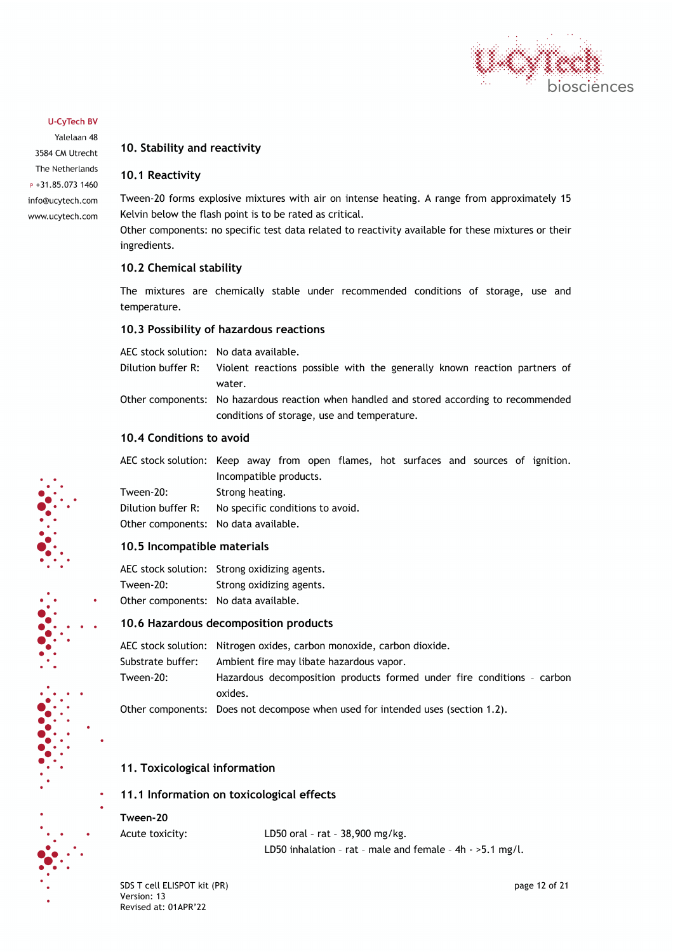

Yalelaan 48 3584 CM Utrecht The Netherlands  $P + 31.85.0731460$ info@ucytech.com www.ucytech.com

# **10. Stability and reactivity**

#### **10.1 Reactivity**

Tween-20 forms explosive mixtures with air on intense heating. A range from approximately 15 Kelvin below the flash point is to be rated as critical.

Other components: no specific test data related to reactivity available for these mixtures or their ingredients.

### **10.2 Chemical stability**

The mixtures are chemically stable under recommended conditions of storage, use and temperature.

### **10.3 Possibility of hazardous reactions**

AEC stock solution: No data available.

Dilution buffer R: Violent reactions possible with the generally known reaction partners of water. Other components: No hazardous reaction when handled and stored according to recommended conditions of storage, use and temperature.

### **10.4 Conditions to avoid**

AEC stock solution: Keep away from open flames, hot surfaces and sources of ignition. Incompatible products.

Tween-20: Strong heating. Dilution buffer R: No specific conditions to avoid. Other components: No data available.

# **10.5 Incompatible materials**

AEC stock solution: Strong oxidizing agents. Tween-20: Strong oxidizing agents. Other components: No data available.

#### **10.6 Hazardous decomposition products**

AEC stock solution: Nitrogen oxides, carbon monoxide, carbon dioxide. Substrate buffer: Ambient fire may libate hazardous vapor. Tween-20: Hazardous decomposition products formed under fire conditions – carbon oxides.

Other components: Does not decompose when used for intended uses (section 1.2).

# **11. Toxicological information**

# **11.1 Information on toxicological effects**

#### **Tween-20**

Acute toxicity: LD50 oral – rat – 38,900 mg/kg. LD50 inhalation – rat – male and female – 4h - >5.1 mg/l.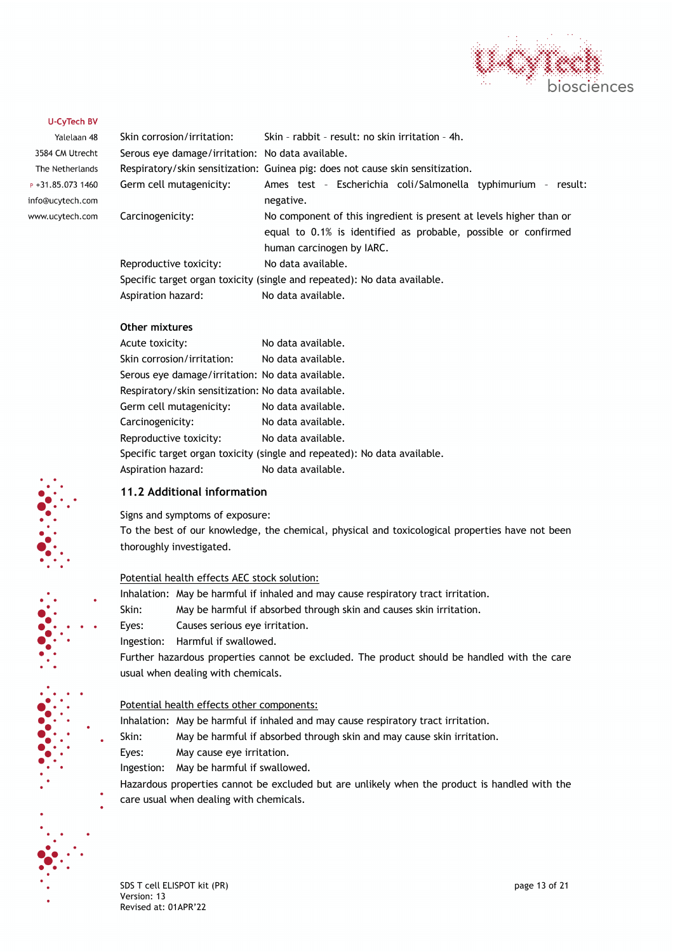

| Yalelaan 48         |
|---------------------|
| 3584 CM Utrecht     |
| The Netherlands     |
| $P + 31.85.0731460$ |
| info@ucytech.com    |
| www.ucytech.com     |

| Skin corrosion/irritation:                       | Skin - rabbit - result: no skin irritation - 4h.                               |
|--------------------------------------------------|--------------------------------------------------------------------------------|
| Serous eve damage/irritation: No data available. |                                                                                |
|                                                  | Respiratory/skin sensitization: Guinea pig: does not cause skin sensitization. |
| Germ cell mutagenicity:                          | Ames test - Escherichia coli/Salmonella typhimurium - result:                  |
|                                                  | negative.                                                                      |
| Carcinogenicity:                                 | No component of this ingredient is present at levels higher than or            |
|                                                  | equal to 0.1% is identified as probable, possible or confirmed                 |
|                                                  | human carcinogen by IARC.                                                      |
| Reproductive toxicity:                           | No data available.                                                             |
|                                                  | Specific target organ toxicity (single and repeated): No data available.       |
| Aspiration hazard:                               | No data available.                                                             |

#### **Other mixtures**

| Acute toxicity:                                    | No data available.                                                       |
|----------------------------------------------------|--------------------------------------------------------------------------|
| Skin corrosion/irritation:                         | No data available.                                                       |
| Serous eye damage/irritation: No data available.   |                                                                          |
| Respiratory/skin sensitization: No data available. |                                                                          |
| Germ cell mutagenicity:                            | No data available.                                                       |
| Carcinogenicity:                                   | No data available.                                                       |
| Reproductive toxicity:                             | No data available.                                                       |
|                                                    | Specific target organ toxicity (single and repeated): No data available. |
| Aspiration hazard:                                 | No data available.                                                       |
|                                                    |                                                                          |

#### **11.2 Additional information**

Signs and symptoms of exposure:

To the best of our knowledge, the chemical, physical and toxicological properties have not been thoroughly investigated.

#### Potential health effects AEC stock solution:

Inhalation: May be harmful if inhaled and may cause respiratory tract irritation.

Skin: May be harmful if absorbed through skin and causes skin irritation.

Eyes: Causes serious eye irritation.

Ingestion: Harmful if swallowed.

Further hazardous properties cannot be excluded. The product should be handled with the care usual when dealing with chemicals.

#### Potential health effects other components:

Inhalation: May be harmful if inhaled and may cause respiratory tract irritation.

Skin: May be harmful if absorbed through skin and may cause skin irritation.

Eyes: May cause eye irritation.

Ingestion: May be harmful if swallowed.

Hazardous properties cannot be excluded but are unlikely when the product is handled with the care usual when dealing with chemicals.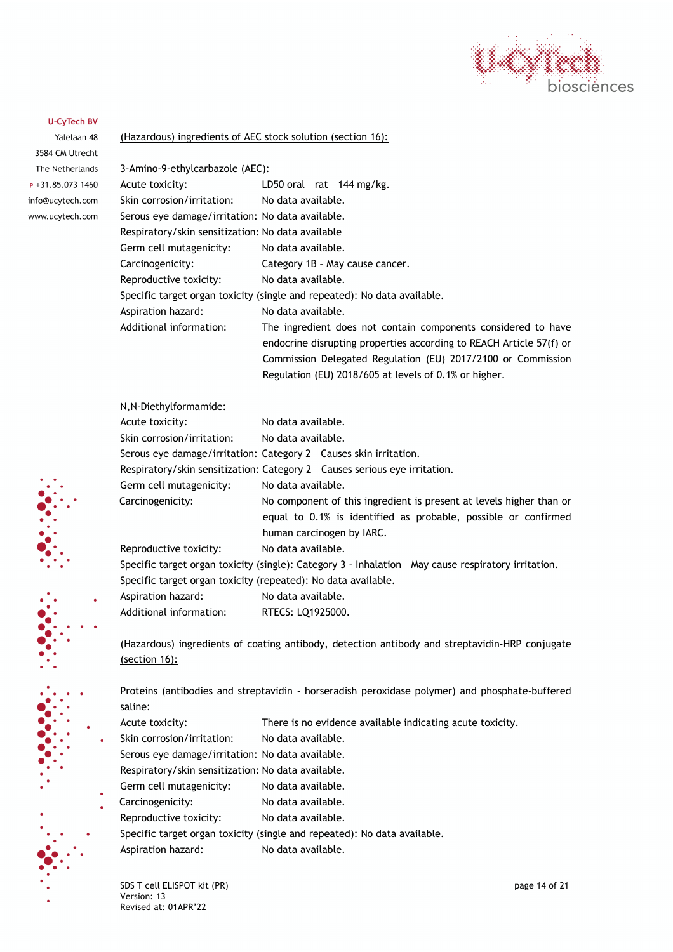

Yalelaan 48 3584 CM Utrecht The Netherlands  $P + 31.85.0731460$ info@ucytech.com www.ucytech.com

#### (Hazardous) ingredients of AEC stock solution (section 16):

| 3-Amino-9-ethylcarbazole (AEC):                   |                                                                          |
|---------------------------------------------------|--------------------------------------------------------------------------|
| Acute toxicity:                                   | LD50 oral - rat - 144 mg/kg.                                             |
| Skin corrosion/irritation:                        | No data available.                                                       |
| Serous eye damage/irritation: No data available.  |                                                                          |
| Respiratory/skin sensitization: No data available |                                                                          |
| Germ cell mutagenicity:                           | No data available.                                                       |
| Carcinogenicity:                                  | Category 1B - May cause cancer.                                          |
| Reproductive toxicity:                            | No data available.                                                       |
|                                                   | Specific target organ toxicity (single and repeated): No data available. |
| Aspiration hazard:                                | No data available.                                                       |
| Additional information:                           | The ingredient does not contain components considered to have            |
|                                                   | endocrine disrupting properties according to REACH Article 57(f) or      |
|                                                   | Commission Delegated Regulation (EU) 2017/2100 or Commission             |
|                                                   | Regulation (EU) 2018/605 at levels of 0.1% or higher.                    |

| N, N-Diethylformamide:                                        |                                                                                                      |
|---------------------------------------------------------------|------------------------------------------------------------------------------------------------------|
| Acute toxicity:                                               | No data available.                                                                                   |
| Skin corrosion/irritation:                                    | No data available.                                                                                   |
|                                                               | Serous eye damage/irritation: Category 2 - Causes skin irritation.                                   |
|                                                               | Respiratory/skin sensitization: Category 2 - Causes serious eye irritation.                          |
| Germ cell mutagenicity:                                       | No data available.                                                                                   |
| Carcinogenicity:                                              | No component of this ingredient is present at levels higher than or                                  |
|                                                               | equal to 0.1% is identified as probable, possible or confirmed                                       |
|                                                               | human carcinogen by IARC.                                                                            |
| Reproductive toxicity:                                        | No data available.                                                                                   |
|                                                               | Specific target organ toxicity (single): Category 3 - Inhalation - May cause respiratory irritation. |
| Specific target organ toxicity (repeated): No data available. |                                                                                                      |
| Aspiration hazard:                                            | No data available.                                                                                   |

Additional information: RTECS: LQ1925000.

(Hazardous) ingredients of coating antibody, detection antibody and streptavidin-HRP conjugate (section 16):

Proteins (antibodies and streptavidin - horseradish peroxidase polymer) and phosphate-buffered saline:

- Acute toxicity: There is no evidence available indicating acute toxicity.
- Skin corrosion/irritation: No data available.
- Serous eye damage/irritation: No data available.
- Respiratory/skin sensitization: No data available.
- Germ cell mutagenicity: No data available.
- Carcinogenicity: No data available.
- Reproductive toxicity: No data available.
- Specific target organ toxicity (single and repeated): No data available.
	- Aspiration hazard: No data available.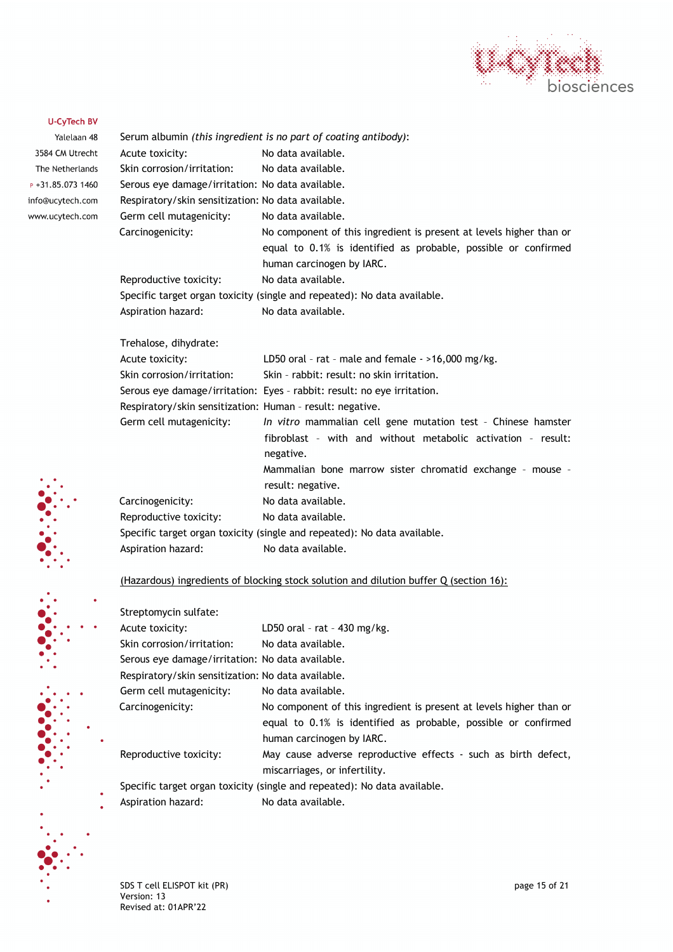

| Yalelaan 48       |                                                    | Serum albumin (this ingredient is no part of coating antibody):          |
|-------------------|----------------------------------------------------|--------------------------------------------------------------------------|
| 3584 CM Utrecht   | Acute toxicity:                                    | No data available.                                                       |
| The Netherlands   | Skin corrosion/irritation:                         | No data available.                                                       |
| P +31.85.073 1460 | Serous eye damage/irritation: No data available.   |                                                                          |
| info@ucytech.com  | Respiratory/skin sensitization: No data available. |                                                                          |
| www.ucytech.com   | Germ cell mutagenicity:                            | No data available.                                                       |
|                   | Carcinogenicity:                                   | No component of this ingredient is present at levels higher than or      |
|                   |                                                    | equal to 0.1% is identified as probable, possible or confirmed           |
|                   |                                                    | human carcinogen by IARC.                                                |
|                   | Reproductive toxicity:                             | No data available.                                                       |
|                   |                                                    | Specific target organ toxicity (single and repeated): No data available. |
|                   | Aspiration hazard:                                 | No data available.                                                       |
|                   | Trehalose, dihydrate:                              |                                                                          |
|                   | Acute toxicity:                                    | LD50 oral - rat - male and female $-$ >16,000 mg/kg.                     |
|                   | Skin corrosion/irritation:                         | Skin - rabbit: result: no skin irritation.                               |
|                   |                                                    | Serous eye damage/irritation: Eyes - rabbit: result: no eye irritation.  |
|                   |                                                    | Respiratory/skin sensitization: Human - result: negative.                |
|                   | Germ cell mutagenicity:                            | In vitro mammalian cell gene mutation test - Chinese hamster             |
|                   |                                                    | fibroblast - with and without metabolic activation - result:             |
|                   |                                                    | negative.                                                                |
|                   |                                                    | Mammalian bone marrow sister chromatid exchange - mouse -                |
|                   |                                                    | result: negative.                                                        |
|                   | Carcinogenicity:                                   | No data available.                                                       |
|                   | Reproductive toxicity:                             | No data available.                                                       |
|                   |                                                    | Specific target organ toxicity (single and repeated): No data available. |
|                   | Aspiration hazard:                                 | No data available.                                                       |
|                   |                                                    |                                                                          |

# (Hazardous) ingredients of blocking stock solution and dilution buffer Q (section 16):

| Streptomycin sulfate:                              |                                                                                                                                                                    |
|----------------------------------------------------|--------------------------------------------------------------------------------------------------------------------------------------------------------------------|
| Acute toxicity:                                    | LD50 oral - rat - $430$ mg/kg.                                                                                                                                     |
| Skin corrosion/irritation:                         | No data available.                                                                                                                                                 |
| Serous eye damage/irritation: No data available.   |                                                                                                                                                                    |
| Respiratory/skin sensitization: No data available. |                                                                                                                                                                    |
| Germ cell mutagenicity:                            | No data available.                                                                                                                                                 |
| Carcinogenicity:                                   | No component of this ingredient is present at levels higher than or<br>equal to 0.1% is identified as probable, possible or confirmed<br>human carcinogen by IARC. |
| Reproductive toxicity:                             | May cause adverse reproductive effects - such as birth defect,<br>miscarriages, or infertility.                                                                    |
|                                                    | Specific target organ toxicity (single and repeated): No data available.                                                                                           |
| Aspiration hazard:                                 | No data available.                                                                                                                                                 |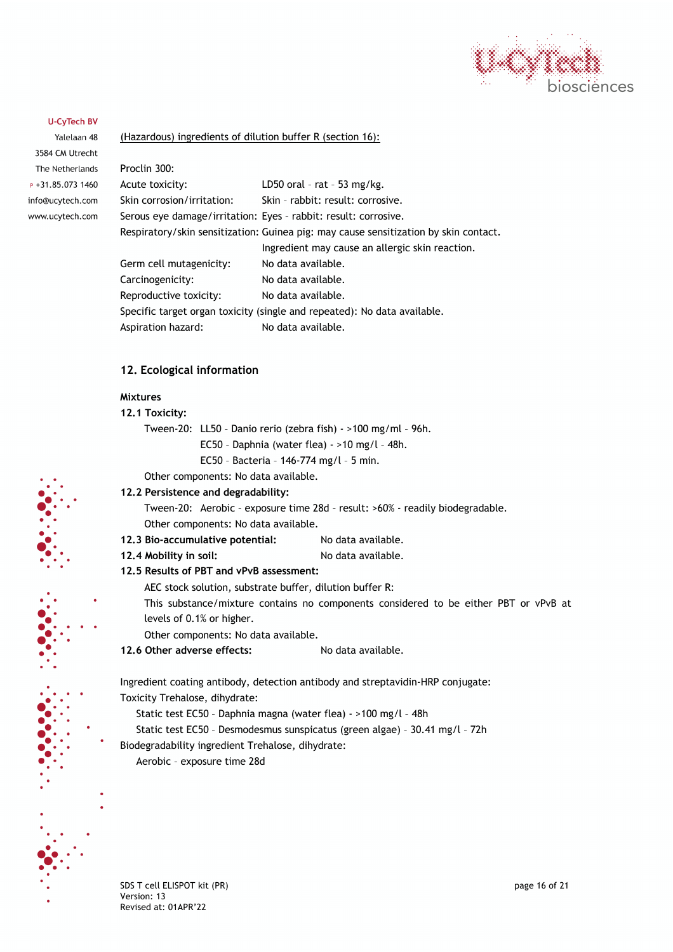

Yalelaan 48 3584 CM Utrecht The Netherlands  $P + 31.85.0731460$ info@ucytech.com www.ucytech.com

#### (Hazardous) ingredients of dilution buffer R (section 16):

| Proclin 300:               |                                                                                      |
|----------------------------|--------------------------------------------------------------------------------------|
| Acute toxicity:            | LD50 oral - rat - 53 mg/kg.                                                          |
| Skin corrosion/irritation: | Skin - rabbit: result: corrosive.                                                    |
|                            | Serous eye damage/irritation: Eyes - rabbit: result: corrosive.                      |
|                            | Respiratory/skin sensitization: Guinea pig: may cause sensitization by skin contact. |
|                            | Ingredient may cause an allergic skin reaction.                                      |
| Germ cell mutagenicity:    | No data available.                                                                   |
| Carcinogenicity:           | No data available.                                                                   |
| Reproductive toxicity:     | No data available.                                                                   |
|                            | Specific target organ toxicity (single and repeated): No data available.             |
| Aspiration hazard:         | No data available.                                                                   |
|                            |                                                                                      |

#### **12. Ecological information**

# **Mixtures**

# **12.1 Toxicity:**

- Tween-20: LL50 Danio rerio (zebra fish) >100 mg/ml 96h.
	- EC50 Daphnia (water flea) >10 mg/l 48h.
	- EC50 Bacteria 146-774 mg/l 5 min.
- Other components: No data available.

#### **12.2 Persistence and degradability:**

Tween-20: Aerobic – exposure time 28d – result: >60% - readily biodegradable. Other components: No data available.

- **12.3 Bio-accumulative potential:** No data available.
- **12.4 Mobility in soil:** No data available.

#### **12.5 Results of PBT and vPvB assessment:**

- AEC stock solution, substrate buffer, dilution buffer R:
- This substance/mixture contains no components considered to be either PBT or vPvB at levels of 0.1% or higher.
- Other components: No data available.
- 12.6 Other adverse effects: No data available.

Ingredient coating antibody, detection antibody and streptavidin-HRP conjugate: Toxicity Trehalose, dihydrate:

Static test EC50 – Daphnia magna (water flea) - >100 mg/l – 48h

Static test EC50 – Desmodesmus sunspicatus (green algae) – 30.41 mg/l – 72h

Biodegradability ingredient Trehalose, dihydrate:

Aerobic – exposure time 28d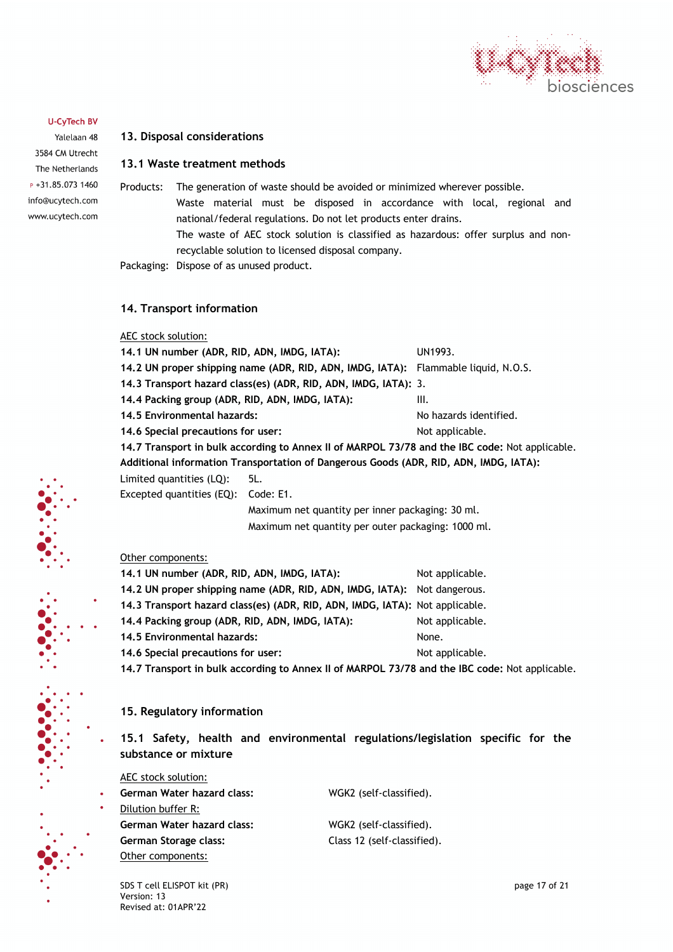

Yalelaan 48 3584 CM Utrecht The Netherlands  $P + 31.85.0731460$ info@ucytech.com www.ucytech.com

#### **13. Disposal considerations**

### **13.1 Waste treatment methods**

Products: The generation of waste should be avoided or minimized wherever possible. Waste material must be disposed in accordance with local, regional and national/federal regulations. Do not let products enter drains. The waste of AEC stock solution is classified as hazardous: offer surplus and nonrecyclable solution to licensed disposal company. Packaging: Dispose of as unused product.

**14. Transport information**

#### AEC stock solution:

| 14.1 UN number (ADR, RID, ADN, IMDG, IATA):     | UN1993.                                                                                        |                        |  |
|-------------------------------------------------|------------------------------------------------------------------------------------------------|------------------------|--|
|                                                 | 14.2 UN proper shipping name (ADR, RID, ADN, IMDG, IATA): Flammable liquid, N.O.S.             |                        |  |
|                                                 | 14.3 Transport hazard class(es) (ADR, RID, ADN, IMDG, IATA): 3.                                |                        |  |
| 14.4 Packing group (ADR, RID, ADN, IMDG, IATA); | Ш.                                                                                             |                        |  |
| 14.5 Environmental hazards:                     |                                                                                                | No hazards identified. |  |
| 14.6 Special precautions for user:              |                                                                                                | Not applicable.        |  |
|                                                 | 14.7 Transport in bulk according to Annex II of MARPOL 73/78 and the IBC code: Not applicable. |                        |  |
|                                                 | Additional information Transportation of Dangerous Goods (ADR, RID, ADN, IMDG, IATA):          |                        |  |
| Limited quantities (LQ):                        | 5L.                                                                                            |                        |  |
| Excepted quantities (EQ):                       | Code: E1.                                                                                      |                        |  |
|                                                 | Maximum net quantity per inner packaging: 30 ml.                                               |                        |  |
|                                                 | Maximum net quantity per outer packaging: 1000 ml.                                             |                        |  |
|                                                 |                                                                                                |                        |  |
|                                                 |                                                                                                |                        |  |

#### Other components:

| 14.1 UN number (ADR, RID, ADN, IMDG, IATA):                                  | Not applicable. |
|------------------------------------------------------------------------------|-----------------|
| 14.2 UN proper shipping name (ADR, RID, ADN, IMDG, IATA): Not dangerous.     |                 |
| 14.3 Transport hazard class(es) (ADR, RID, ADN, IMDG, IATA): Not applicable. |                 |
| 14.4 Packing group (ADR, RID, ADN, IMDG, IATA):                              | Not applicable. |
| 14.5 Environmental hazards:                                                  | None.           |
| 14.6 Special precautions for user:                                           | Not applicable. |
|                                                                              |                 |

**14.7 Transport in bulk according to Annex II of MARPOL 73/78 and the IBC code:** Not applicable.

#### **15. Regulatory information**

**15.1 Safety, health and environmental regulations/legislation specific for the substance or mixture**

AEC stock solution:

| <b>German Water hazard class:</b> | WGK2 (self-classified).     |
|-----------------------------------|-----------------------------|
|                                   |                             |
| Dilution buffer R:                |                             |
| <b>German Water hazard class:</b> | WGK2 (self-classified).     |
| German Storage class:             | Class 12 (self-classified). |
| Other components:                 |                             |

SDS T cell ELISPOT kit (PR) and the state of 21 of 21 of 21 of 21 of 21 of 21 of 21 of 21 of 21 of 21 of 21 of 21 of 21 of 21 of 21 of 21 of 21 of 21 of 21 of 21 of 21 of 21 of 21 of 21 of 21 of 21 of 21 of 21 of 21 of 21 Version: 13 Revised at: 01APR'22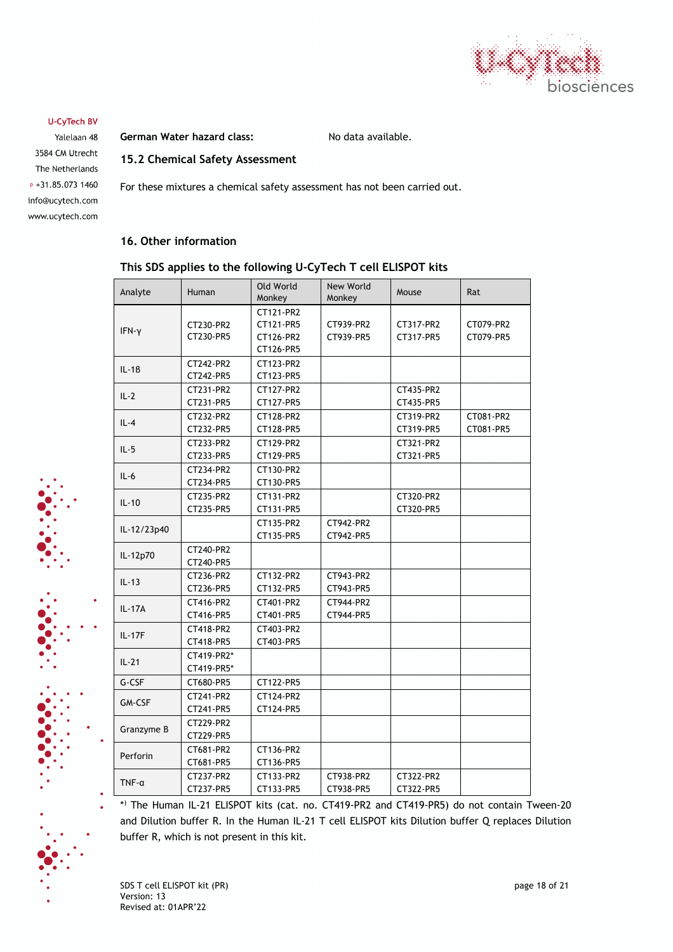

Yalelaan 48 3584 CM Utrecht The Netherlands  $P + 31.85.0731460$ info@ucytech.com www.ucytech.com German Water hazard class: No data available.

# **15.2 Chemical Safety Assessment**

For these mixtures a chemical safety assessment has not been carried out.

### **16. Other information**

## **This SDS applies to the following U-CyTech T cell ELISPOT kits**

| Analyte        | Human                    | Old World<br>Monkey                              | New World<br>Monkey    | Mouse                  | Rat                    |
|----------------|--------------------------|--------------------------------------------------|------------------------|------------------------|------------------------|
| IFN-y          | CT230-PR2<br>CT230-PR5   | CT121-PR2<br>CT121-PR5<br>CT126-PR2<br>CT126-PR5 | CT939-PR2<br>CT939-PR5 | CT317-PR2<br>CT317-PR5 | CT079-PR2<br>CT079-PR5 |
| $IL - 1B$      | CT242-PR2<br>CT242-PR5   | CT123-PR2<br>CT123-PR5                           |                        |                        |                        |
| $IL-2$         | CT231-PR2<br>CT231-PR5   | CT127-PR2<br>CT127-PR5                           |                        | CT435-PR2<br>CT435-PR5 |                        |
| $IL-4$         | CT232-PR2<br>CT232-PR5   | CT128-PR2<br>CT128-PR5                           |                        | CT319-PR2<br>CT319-PR5 | CT081-PR2<br>CT081-PR5 |
| $IL - 5$       | CT233-PR2<br>CT233-PR5   | CT129-PR2<br>CT129-PR5                           |                        | CT321-PR2<br>CT321-PR5 |                        |
| $IL-6$         | CT234-PR2<br>CT234-PR5   | CT130-PR2<br>CT130-PR5                           |                        |                        |                        |
| $IL-10$        | CT235-PR2<br>CT235-PR5   | CT131-PR2<br>CT131-PR5                           |                        | CT320-PR2<br>CT320-PR5 |                        |
| IL-12/23p40    |                          | CT135-PR2<br>CT135-PR5                           | CT942-PR2<br>CT942-PR5 |                        |                        |
| IL-12p70       | CT240-PR2<br>CT240-PR5   |                                                  |                        |                        |                        |
| $IL-13$        | CT236-PR2<br>CT236-PR5   | CT132-PR2<br>CT132-PR5                           | CT943-PR2<br>CT943-PR5 |                        |                        |
| IL-17A         | CT416-PR2<br>CT416-PR5   | CT401-PR2<br>CT401-PR5                           | CT944-PR2<br>CT944-PR5 |                        |                        |
| $IL - 17F$     | CT418-PR2<br>CT418-PR5   | CT403-PR2<br>CT403-PR5                           |                        |                        |                        |
| $IL-21$        | CT419-PR2*<br>CT419-PR5* |                                                  |                        |                        |                        |
| G-CSF          | CT680-PR5                | CT122-PR5                                        |                        |                        |                        |
| <b>GM-CSF</b>  | CT241-PR2<br>CT241-PR5   | CT124-PR2<br>CT124-PR5                           |                        |                        |                        |
| Granzyme B     | CT229-PR2<br>CT229-PR5   |                                                  |                        |                        |                        |
| Perforin       | CT681-PR2<br>CT681-PR5   | CT136-PR2<br>CT136-PR5                           |                        |                        |                        |
| $TNF - \alpha$ | CT237-PR2<br>CT237-PR5   | CT133-PR2<br>CT133-PR5                           | CT938-PR2<br>CT938-PR5 | CT322-PR2<br>CT322-PR5 |                        |

\*) The Human IL-21 ELISPOT kits (cat. no. CT419-PR2 and CT419-PR5) do not contain Tween-20 and Dilution buffer R. In the Human IL-21 T cell ELISPOT kits Dilution buffer Q replaces Dilution buffer R, which is not present in this kit.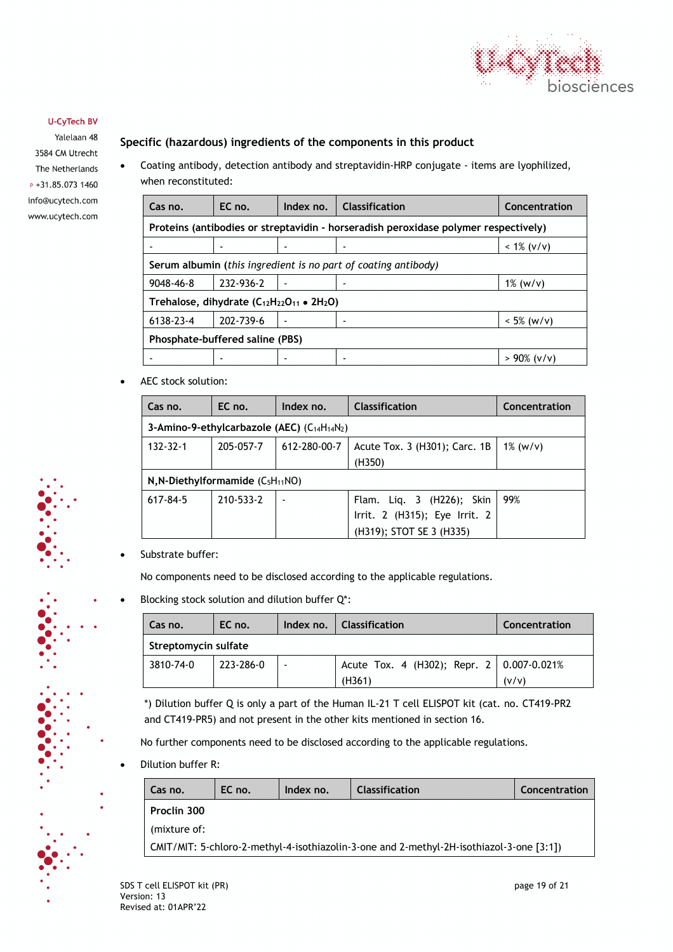

Yalelaan 48 3584 CM Utrecht The Netherlands  $P + 31.85.0731460$ info@ucytech.com www.ucytech.com

# **Specific (hazardous) ingredients of the components in this product**

• Coating antibody, detection antibody and streptavidin-HRP conjugate - items are lyophilized, when reconstituted:

| Cas no.                                                   | EC no.                                                                              | Index no. | <b>Classification</b> | Concentration |  |  |
|-----------------------------------------------------------|-------------------------------------------------------------------------------------|-----------|-----------------------|---------------|--|--|
|                                                           | Proteins (antibodies or streptavidin - horseradish peroxidase polymer respectively) |           |                       |               |  |  |
|                                                           |                                                                                     |           |                       | $< 1\%$ (v/v) |  |  |
|                                                           | Serum albumin (this ingredient is no part of coating antibody)                      |           |                       |               |  |  |
| $9048 - 46 - 8$                                           | 232-936-2                                                                           |           |                       | $1\%$ (w/v)   |  |  |
| Trehalose, dihydrate $(C_{12}H_{22}O_{11} \bullet 2H_2O)$ |                                                                                     |           |                       |               |  |  |
| 6138-23-4                                                 | 202-739-6                                                                           |           |                       | $< 5\%$ (w/v) |  |  |
| Phosphate-buffered saline (PBS)                           |                                                                                     |           |                       |               |  |  |
|                                                           |                                                                                     |           |                       | > 90% (v/v)   |  |  |

• AEC stock solution:

| Cas no.        | EC no.                                             | Index no.    | <b>Classification</b>                                                                  | Concentration |  |  |
|----------------|----------------------------------------------------|--------------|----------------------------------------------------------------------------------------|---------------|--|--|
|                | 3-Amino-9-ethylcarbazole (AEC) $(C_{14}H_{14}N_2)$ |              |                                                                                        |               |  |  |
| $132 - 32 - 1$ | 205-057-7                                          | 612-280-00-7 | Acute Tox. 3 (H301); Carc. 1B<br>(H350)                                                | $1\%$ (w/v)   |  |  |
|                | $N, N-Diethylformamide (C5H11NO)$                  |              |                                                                                        |               |  |  |
| 617-84-5       | 210-533-2                                          |              | Flam. Liq. 3 (H226); Skin<br>Irrit. 2 (H315); Eye Irrit. 2<br>(H319); STOT SE 3 (H335) | 99%           |  |  |

Substrate buffer:

No components need to be disclosed according to the applicable regulations.

Blocking stock solution and dilution buffer Q\*:

| Cas no.              | EC no.    | Index no.                | Classification                              | Concentration |  |
|----------------------|-----------|--------------------------|---------------------------------------------|---------------|--|
| Streptomycin sulfate |           |                          |                                             |               |  |
| 3810-74-0            | 223-286-0 | $\overline{\phantom{a}}$ | Acute Tox. 4 (H302); Repr. 2   0.007-0.021% |               |  |
|                      |           |                          | (H361)                                      | (v/v)         |  |

\*) Dilution buffer Q is only a part of the Human IL-21 T cell ELISPOT kit (cat. no. CT419-PR2 and CT419-PR5) and not present in the other kits mentioned in section 16.

No further components need to be disclosed according to the applicable regulations.

• Dilution buffer R:

| Cas no.                                                                                  | EC no. | Index no. | <b>Classification</b> | Concentration |  |
|------------------------------------------------------------------------------------------|--------|-----------|-----------------------|---------------|--|
| Proclin 300                                                                              |        |           |                       |               |  |
| (mixture of:                                                                             |        |           |                       |               |  |
| CMIT/MIT: 5-chloro-2-methyl-4-isothiazolin-3-one and 2-methyl-2H-isothiazol-3-one [3:1]) |        |           |                       |               |  |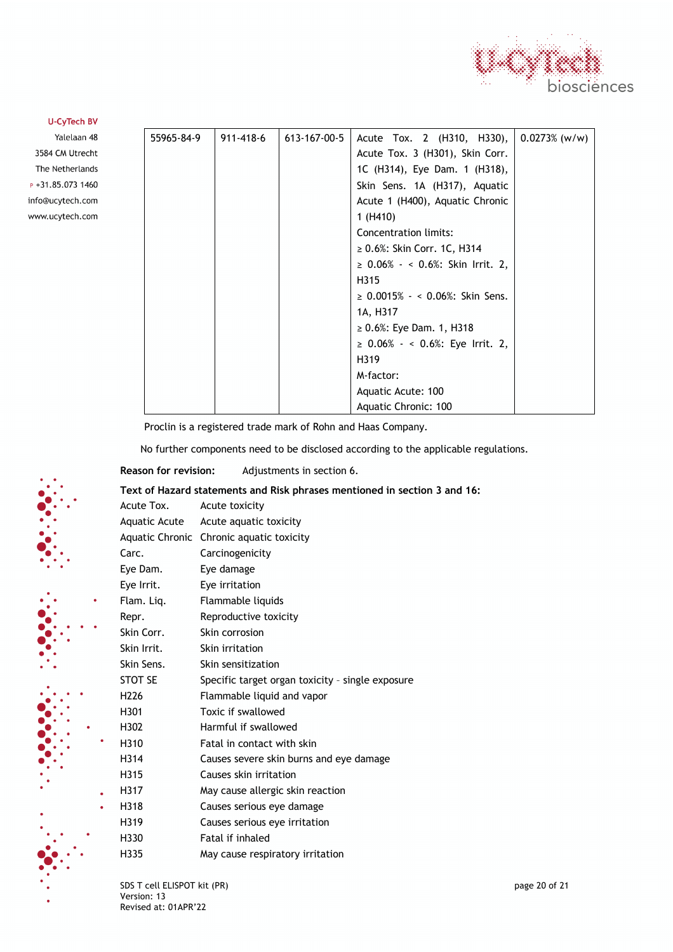

Yalelaan 48 3584 CM Utrecht The Netherlands  $P + 31.85.0731460$ info@ucytech.com www.ucytech.com

| 55965-84-9 | 911-418-6 | 613-167-00-5 | Acute Tox. 2 (H310, H330), $\vert$ 0.0273% (w/w) |  |
|------------|-----------|--------------|--------------------------------------------------|--|
|            |           |              | Acute Tox. 3 (H301), Skin Corr.                  |  |
|            |           |              | 1C (H314), Eye Dam. 1 (H318),                    |  |
|            |           |              | Skin Sens. 1A (H317), Aquatic                    |  |
|            |           |              | Acute 1 (H400), Aquatic Chronic                  |  |
|            |           |              | 1(H410)                                          |  |
|            |           |              | Concentration limits:                            |  |
|            |           |              | $\geq 0.6\%$ : Skin Corr. 1C, H314               |  |
|            |           |              | ≥ 0.06% - < 0.6%: Skin Irrit. 2,                 |  |
|            |           |              | H315                                             |  |
|            |           |              | $\geq$ 0.0015% $\sim$ 0.06%: Skin Sens.          |  |
|            |           |              | 1A, H317                                         |  |
|            |           |              | $\geq 0.6\%$ : Eye Dam. 1, H318                  |  |
|            |           |              | $\geq$ 0.06% - < 0.6%: Eye Irrit. 2,             |  |
|            |           |              | H319                                             |  |
|            |           |              | M-factor:                                        |  |
|            |           |              | Aquatic Acute: 100                               |  |
|            |           |              | Aquatic Chronic: 100                             |  |

Proclin is a registered trade mark of Rohn and Haas Company.

No further components need to be disclosed according to the applicable regulations.

**Reason for revision:** Adjustments in section 6.

**Text of Hazard statements and Risk phrases mentioned in section 3 and 16:**

| Acute Tox.       | Acute toxicity                                   |
|------------------|--------------------------------------------------|
| Aquatic Acute    | Acute aquatic toxicity                           |
|                  | Aquatic Chronic Chronic aquatic toxicity         |
| Carc.            | Carcinogenicity                                  |
| Eye Dam.         | Eye damage                                       |
| Eye Irrit.       | Eye irritation                                   |
| Flam. Liq.       | Flammable liquids                                |
| Repr.            | Reproductive toxicity                            |
| Skin Corr.       | Skin corrosion                                   |
| Skin Irrit.      | Skin irritation                                  |
| Skin Sens.       | Skin sensitization                               |
| STOT SE          | Specific target organ toxicity - single exposure |
| H <sub>226</sub> | Flammable liquid and vapor                       |
| H301             | Toxic if swallowed                               |
| H302             | Harmful if swallowed                             |
| H310             | Fatal in contact with skin                       |
| H314             | Causes severe skin burns and eye damage          |
| H315             | Causes skin irritation                           |
| H317             | May cause allergic skin reaction                 |
| H318             | Causes serious eye damage                        |
| H319             | Causes serious eye irritation                    |
| H330             | Fatal if inhaled                                 |
| H335             | May cause respiratory irritation                 |